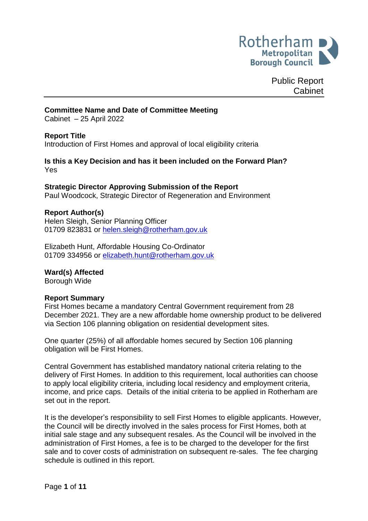

Public Report Cabinet

#### **Committee Name and Date of Committee Meeting**

Cabinet – 25 April 2022

#### **Report Title**

Introduction of First Homes and approval of local eligibility criteria

#### **Is this a Key Decision and has it been included on the Forward Plan?** Yes

### **Strategic Director Approving Submission of the Report**

Paul Woodcock, Strategic Director of Regeneration and Environment

#### **Report Author(s)**

Helen Sleigh, Senior Planning Officer 01709 823831 or [helen.sleigh@rotherham.gov.uk](mailto:helen.sleigh@rotherham.gov.uk)

Elizabeth Hunt, Affordable Housing Co-Ordinator 01709 334956 or [elizabeth.hunt@rotherham.gov.uk](mailto:helen.sleigh@rotherham.gov.uk)

#### **Ward(s) Affected**

Borough Wide

#### **Report Summary**

First Homes became a mandatory Central Government requirement from 28 December 2021. They are a new affordable home ownership product to be delivered via Section 106 planning obligation on residential development sites.

One quarter (25%) of all affordable homes secured by Section 106 planning obligation will be First Homes.

Central Government has established mandatory national criteria relating to the delivery of First Homes. In addition to this requirement, local authorities can choose to apply local eligibility criteria, including local residency and employment criteria, income, and price caps. Details of the initial criteria to be applied in Rotherham are set out in the report.

It is the developer's responsibility to sell First Homes to eligible applicants. However, the Council will be directly involved in the sales process for First Homes, both at initial sale stage and any subsequent resales. As the Council will be involved in the administration of First Homes, a fee is to be charged to the developer for the first sale and to cover costs of administration on subsequent re-sales. The fee charging schedule is outlined in this report.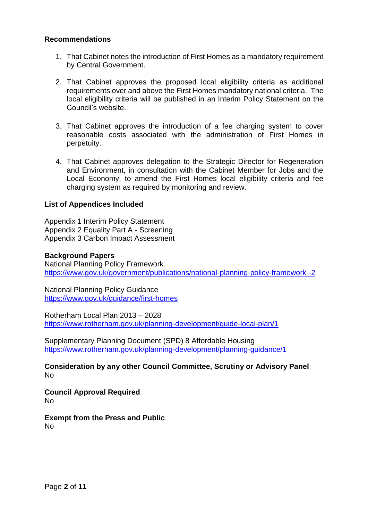#### **Recommendations**

- 1. That Cabinet notes the introduction of First Homes as a mandatory requirement by Central Government.
- 2. That Cabinet approves the proposed local eligibility criteria as additional requirements over and above the First Homes mandatory national criteria. The local eligibility criteria will be published in an Interim Policy Statement on the Council's website.
- 3. That Cabinet approves the introduction of a fee charging system to cover reasonable costs associated with the administration of First Homes in perpetuity.
- 4. That Cabinet approves delegation to the Strategic Director for Regeneration and Environment, in consultation with the Cabinet Member for Jobs and the Local Economy, to amend the First Homes local eligibility criteria and fee charging system as required by monitoring and review.

#### **List of Appendices Included**

Appendix 1 Interim Policy Statement Appendix 2 Equality Part A - Screening Appendix 3 Carbon Impact Assessment

#### **Background Papers**

National Planning Policy Framework <https://www.gov.uk/government/publications/national-planning-policy-framework--2>

National Planning Policy Guidance <https://www.gov.uk/guidance/first-homes>

Rotherham Local Plan 2013 – 2028 <https://www.rotherham.gov.uk/planning-development/guide-local-plan/1>

Supplementary Planning Document (SPD) 8 Affordable Housing <https://www.rotherham.gov.uk/planning-development/planning-guidance/1>

**Consideration by any other Council Committee, Scrutiny or Advisory Panel** No

**Council Approval Required** No

**Exempt from the Press and Public** No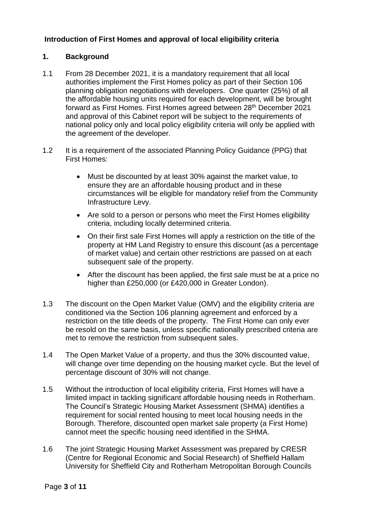# **Introduction of First Homes and approval of local eligibility criteria**

# **1. Background**

- 1.1 From 28 December 2021, it is a mandatory requirement that all local authorities implement the First Homes policy as part of their Section 106 planning obligation negotiations with developers. One quarter (25%) of all the affordable housing units required for each development, will be brought forward as First Homes. First Homes agreed between 28th December 2021 and approval of this Cabinet report will be subject to the requirements of national policy only and local policy eligibility criteria will only be applied with the agreement of the developer.
- 1.2 It is a requirement of the associated Planning Policy Guidance (PPG) that First Homes:
	- Must be discounted by at least 30% against the market value, to ensure they are an affordable housing product and in these circumstances will be eligible for mandatory relief from the Community Infrastructure Levy.
	- Are sold to a person or persons who meet the First Homes eligibility criteria, including locally determined criteria.
	- On their first sale First Homes will apply a restriction on the title of the property at HM Land Registry to ensure this discount (as a percentage of market value) and certain other restrictions are passed on at each subsequent sale of the property.
	- After the discount has been applied, the first sale must be at a price no higher than £250,000 (or £420,000 in Greater London).
- 1.3 The discount on the Open Market Value (OMV) and the eligibility criteria are conditioned via the Section 106 planning agreement and enforced by a restriction on the title deeds of the property. The First Home can only ever be resold on the same basis, unless specific nationally prescribed criteria are met to remove the restriction from subsequent sales.
- 1.4 The Open Market Value of a property, and thus the 30% discounted value, will change over time depending on the housing market cycle. But the level of percentage discount of 30% will not change.
- 1.5 Without the introduction of local eligibility criteria, First Homes will have a limited impact in tackling significant affordable housing needs in Rotherham. The Council's Strategic Housing Market Assessment (SHMA) identifies a requirement for social rented housing to meet local housing needs in the Borough. Therefore, discounted open market sale property (a First Home) cannot meet the specific housing need identified in the SHMA.
- 1.6 The joint Strategic Housing Market Assessment was prepared by CRESR (Centre for Regional Economic and Social Research) of Sheffield Hallam University for Sheffield City and Rotherham Metropolitan Borough Councils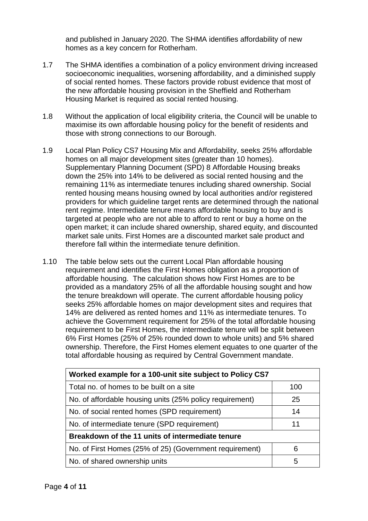and published in January 2020. The SHMA identifies affordability of new homes as a key concern for Rotherham.

- 1.7 The SHMA identifies a combination of a policy environment driving increased socioeconomic inequalities, worsening affordability, and a diminished supply of social rented homes. These factors provide robust evidence that most of the new affordable housing provision in the Sheffield and Rotherham Housing Market is required as social rented housing.
- 1.8 Without the application of local eligibility criteria, the Council will be unable to maximise its own affordable housing policy for the benefit of residents and those with strong connections to our Borough.
- 1.9 Local Plan Policy CS7 Housing Mix and Affordability, seeks 25% affordable homes on all major development sites (greater than 10 homes). Supplementary Planning Document (SPD) 8 Affordable Housing breaks down the 25% into 14% to be delivered as social rented housing and the remaining 11% as intermediate tenures including shared ownership. Social rented housing means housing owned by local authorities and/or registered providers for which guideline target rents are determined through the national rent regime. Intermediate tenure means affordable housing to buy and is targeted at people who are not able to afford to rent or buy a home on the open market; it can include shared ownership, shared equity, and discounted market sale units. First Homes are a discounted market sale product and therefore fall within the intermediate tenure definition.
- 1.10 The table below sets out the current Local Plan affordable housing requirement and identifies the First Homes obligation as a proportion of affordable housing. The calculation shows how First Homes are to be provided as a mandatory 25% of all the affordable housing sought and how the tenure breakdown will operate. The current affordable housing policy seeks 25% affordable homes on major development sites and requires that 14% are delivered as rented homes and 11% as intermediate tenures. To achieve the Government requirement for 25% of the total affordable housing requirement to be First Homes, the intermediate tenure will be split between 6% First Homes (25% of 25% rounded down to whole units) and 5% shared ownership. Therefore, the First Homes element equates to one quarter of the total affordable housing as required by Central Government mandate.

| Worked example for a 100-unit site subject to Policy CS7 |     |  |
|----------------------------------------------------------|-----|--|
| Total no. of homes to be built on a site                 | 100 |  |
| No. of affordable housing units (25% policy requirement) | 25  |  |
| No. of social rented homes (SPD requirement)             | 14  |  |
| No. of intermediate tenure (SPD requirement)             | 11  |  |
| Breakdown of the 11 units of intermediate tenure         |     |  |
| No. of First Homes (25% of 25) (Government requirement)  | 6   |  |
| No. of shared ownership units                            | 5   |  |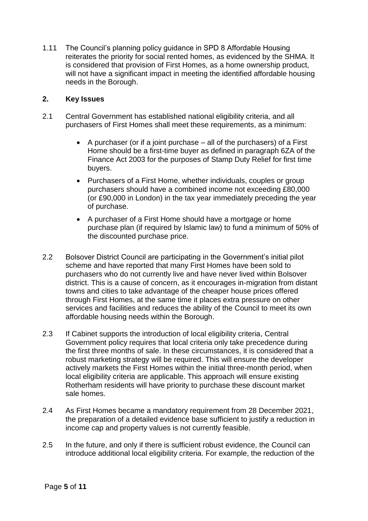1.11 The Council's planning policy guidance in SPD 8 Affordable Housing reiterates the priority for social rented homes, as evidenced by the SHMA. It is considered that provision of First Homes, as a home ownership product, will not have a significant impact in meeting the identified affordable housing needs in the Borough.

# **2. Key Issues**

- 2.1 Central Government has established national eligibility criteria, and all purchasers of First Homes shall meet these requirements, as a minimum:
	- A purchaser (or if a joint purchase all of the purchasers) of a First Home should be a first-time buyer as defined in paragraph 6ZA of the Finance Act 2003 for the purposes of Stamp Duty Relief for first time buyers.
	- Purchasers of a First Home, whether individuals, couples or group purchasers should have a combined income not exceeding £80,000 (or £90,000 in London) in the tax year immediately preceding the year of purchase.
	- A purchaser of a First Home should have a mortgage or home purchase plan (if required by Islamic law) to fund a minimum of 50% of the discounted purchase price.
- 2.2 Bolsover District Council are participating in the Government's initial pilot scheme and have reported that many First Homes have been sold to purchasers who do not currently live and have never lived within Bolsover district. This is a cause of concern, as it encourages in-migration from distant towns and cities to take advantage of the cheaper house prices offered through First Homes, at the same time it places extra pressure on other services and facilities and reduces the ability of the Council to meet its own affordable housing needs within the Borough.
- 2.3 If Cabinet supports the introduction of local eligibility criteria, Central Government policy requires that local criteria only take precedence during the first three months of sale. In these circumstances, it is considered that a robust marketing strategy will be required. This will ensure the developer actively markets the First Homes within the initial three-month period, when local eligibility criteria are applicable. This approach will ensure existing Rotherham residents will have priority to purchase these discount market sale homes.
- 2.4 As First Homes became a mandatory requirement from 28 December 2021, the preparation of a detailed evidence base sufficient to justify a reduction in income cap and property values is not currently feasible.
- 2.5 In the future, and only if there is sufficient robust evidence, the Council can introduce additional local eligibility criteria. For example, the reduction of the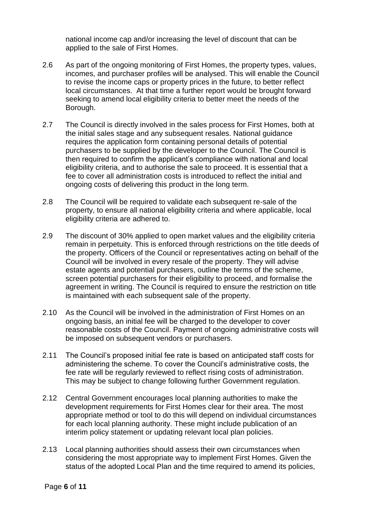national income cap and/or increasing the level of discount that can be applied to the sale of First Homes.

- 2.6 As part of the ongoing monitoring of First Homes, the property types, values, incomes, and purchaser profiles will be analysed. This will enable the Council to revise the income caps or property prices in the future, to better reflect local circumstances. At that time a further report would be brought forward seeking to amend local eligibility criteria to better meet the needs of the Borough.
- 2.7 The Council is directly involved in the sales process for First Homes, both at the initial sales stage and any subsequent resales. National guidance requires the application form containing personal details of potential purchasers to be supplied by the developer to the Council. The Council is then required to confirm the applicant's compliance with national and local eligibility criteria, and to authorise the sale to proceed. It is essential that a fee to cover all administration costs is introduced to reflect the initial and ongoing costs of delivering this product in the long term.
- 2.8 The Council will be required to validate each subsequent re-sale of the property, to ensure all national eligibility criteria and where applicable, local eligibility criteria are adhered to.
- 2.9 The discount of 30% applied to open market values and the eligibility criteria remain in perpetuity. This is enforced through restrictions on the title deeds of the property. Officers of the Council or representatives acting on behalf of the Council will be involved in every resale of the property. They will advise estate agents and potential purchasers, outline the terms of the scheme, screen potential purchasers for their eligibility to proceed, and formalise the agreement in writing. The Council is required to ensure the restriction on title is maintained with each subsequent sale of the property.
- 2.10 As the Council will be involved in the administration of First Homes on an ongoing basis, an initial fee will be charged to the developer to cover reasonable costs of the Council. Payment of ongoing administrative costs will be imposed on subsequent vendors or purchasers.
- 2.11 The Council's proposed initial fee rate is based on anticipated staff costs for administering the scheme. To cover the Council's administrative costs, the fee rate will be regularly reviewed to reflect rising costs of administration. This may be subject to change following further Government regulation.
- 2.12 Central Government encourages local planning authorities to make the development requirements for First Homes clear for their area. The most appropriate method or tool to do this will depend on individual circumstances for each local planning authority. These might include publication of an interim policy statement or updating relevant local plan policies.
- 2.13 Local planning authorities should assess their own circumstances when considering the most appropriate way to implement First Homes. Given the status of the adopted Local Plan and the time required to amend its policies,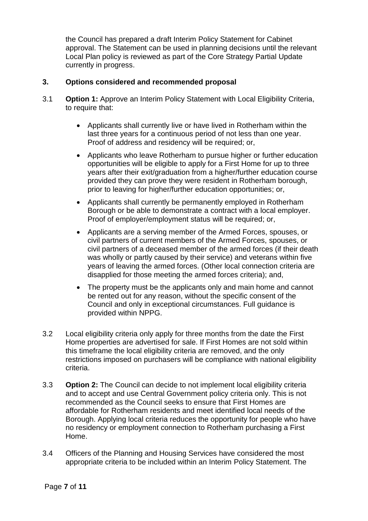the Council has prepared a draft Interim Policy Statement for Cabinet approval. The Statement can be used in planning decisions until the relevant Local Plan policy is reviewed as part of the Core Strategy Partial Update currently in progress.

## **3. Options considered and recommended proposal**

- 3.1 **Option 1:** Approve an Interim Policy Statement with Local Eligibility Criteria, to require that:
	- Applicants shall currently live or have lived in Rotherham within the last three years for a continuous period of not less than one year. Proof of address and residency will be required; or,
	- Applicants who leave Rotherham to pursue higher or further education opportunities will be eligible to apply for a First Home for up to three years after their exit/graduation from a higher/further education course provided they can prove they were resident in Rotherham borough, prior to leaving for higher/further education opportunities; or,
	- Applicants shall currently be permanently employed in Rotherham Borough or be able to demonstrate a contract with a local employer. Proof of employer/employment status will be required; or,
	- Applicants are a serving member of the Armed Forces, spouses, or civil partners of current members of the Armed Forces, spouses, or civil partners of a deceased member of the armed forces (if their death was wholly or partly caused by their service) and veterans within five years of leaving the armed forces. (Other local connection criteria are disapplied for those meeting the armed forces criteria); and,
	- The property must be the applicants only and main home and cannot be rented out for any reason, without the specific consent of the Council and only in exceptional circumstances. Full guidance is provided within NPPG.
- 3.2 Local eligibility criteria only apply for three months from the date the First Home properties are advertised for sale. If First Homes are not sold within this timeframe the local eligibility criteria are removed, and the only restrictions imposed on purchasers will be compliance with national eligibility criteria.
- 3.3 **Option 2:** The Council can decide to not implement local eligibility criteria and to accept and use Central Government policy criteria only. This is not recommended as the Council seeks to ensure that First Homes are affordable for Rotherham residents and meet identified local needs of the Borough. Applying local criteria reduces the opportunity for people who have no residency or employment connection to Rotherham purchasing a First Home.
- 3.4 Officers of the Planning and Housing Services have considered the most appropriate criteria to be included within an Interim Policy Statement. The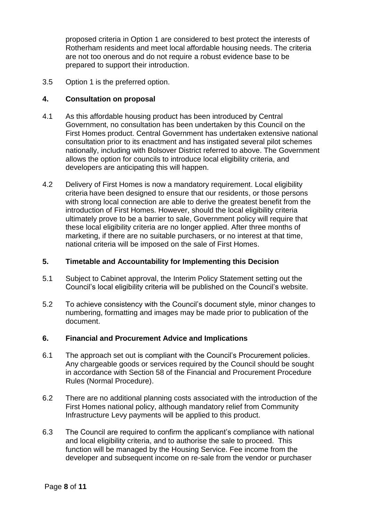proposed criteria in Option 1 are considered to best protect the interests of Rotherham residents and meet local affordable housing needs. The criteria are not too onerous and do not require a robust evidence base to be prepared to support their introduction.

3.5 Option 1 is the preferred option.

### **4. Consultation on proposal**

- 4.1 As this affordable housing product has been introduced by Central Government, no consultation has been undertaken by this Council on the First Homes product. Central Government has undertaken extensive national consultation prior to its enactment and has instigated several pilot schemes nationally, including with Bolsover District referred to above. The Government allows the option for councils to introduce local eligibility criteria, and developers are anticipating this will happen.
- 4.2 Delivery of First Homes is now a mandatory requirement. Local eligibility criteria have been designed to ensure that our residents, or those persons with strong local connection are able to derive the greatest benefit from the introduction of First Homes. However, should the local eligibility criteria ultimately prove to be a barrier to sale, Government policy will require that these local eligibility criteria are no longer applied. After three months of marketing, if there are no suitable purchasers, or no interest at that time, national criteria will be imposed on the sale of First Homes.

### **5. Timetable and Accountability for Implementing this Decision**

- 5.1 Subject to Cabinet approval, the Interim Policy Statement setting out the Council's local eligibility criteria will be published on the Council's website.
- 5.2 To achieve consistency with the Council's document style, minor changes to numbering, formatting and images may be made prior to publication of the document.

### **6. Financial and Procurement Advice and Implications**

- 6.1 The approach set out is compliant with the Council's Procurement policies. Any chargeable goods or services required by the Council should be sought in accordance with Section 58 of the Financial and Procurement Procedure Rules (Normal Procedure).
- 6.2 There are no additional planning costs associated with the introduction of the First Homes national policy, although mandatory relief from Community Infrastructure Levy payments will be applied to this product.
- 6.3 The Council are required to confirm the applicant's compliance with national and local eligibility criteria, and to authorise the sale to proceed. This function will be managed by the Housing Service. Fee income from the developer and subsequent income on re-sale from the vendor or purchaser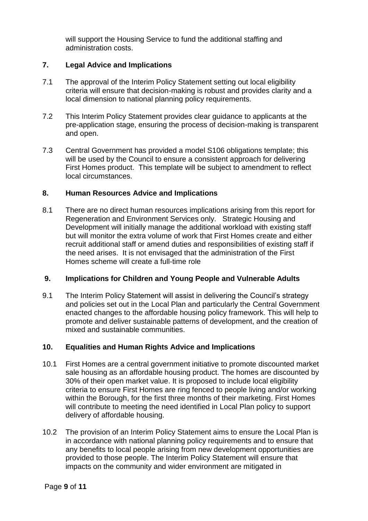will support the Housing Service to fund the additional staffing and administration costs.

## **7. Legal Advice and Implications**

- 7.1 The approval of the Interim Policy Statement setting out local eligibility criteria will ensure that decision-making is robust and provides clarity and a local dimension to national planning policy requirements.
- 7.2 This Interim Policy Statement provides clear guidance to applicants at the pre-application stage, ensuring the process of decision-making is transparent and open.
- 7.3 Central Government has provided a model S106 obligations template; this will be used by the Council to ensure a consistent approach for delivering First Homes product. This template will be subject to amendment to reflect local circumstances.

# **8. Human Resources Advice and Implications**

8.1 There are no direct human resources implications arising from this report for Regeneration and Environment Services only. Strategic Housing and Development will initially manage the additional workload with existing staff but will monitor the extra volume of work that First Homes create and either recruit additional staff or amend duties and responsibilities of existing staff if the need arises. It is not envisaged that the administration of the First Homes scheme will create a full-time role

### **9. Implications for Children and Young People and Vulnerable Adults**

9.1 The Interim Policy Statement will assist in delivering the Council's strategy and policies set out in the Local Plan and particularly the Central Government enacted changes to the affordable housing policy framework. This will help to promote and deliver sustainable patterns of development, and the creation of mixed and sustainable communities.

# **10. Equalities and Human Rights Advice and Implications**

- 10.1 First Homes are a central government initiative to promote discounted market sale housing as an affordable housing product. The homes are discounted by 30% of their open market value. It is proposed to include local eligibility criteria to ensure First Homes are ring fenced to people living and/or working within the Borough, for the first three months of their marketing. First Homes will contribute to meeting the need identified in Local Plan policy to support delivery of affordable housing.
- 10.2 The provision of an Interim Policy Statement aims to ensure the Local Plan is in accordance with national planning policy requirements and to ensure that any benefits to local people arising from new development opportunities are provided to those people. The Interim Policy Statement will ensure that impacts on the community and wider environment are mitigated in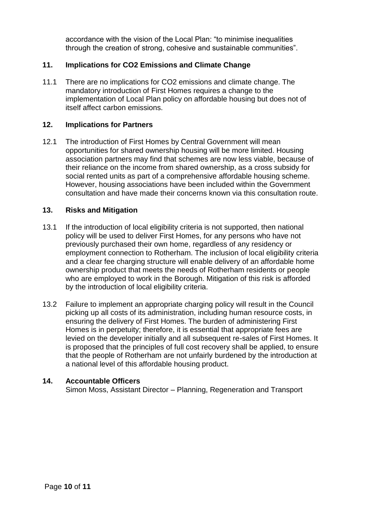accordance with the vision of the Local Plan: "to minimise inequalities through the creation of strong, cohesive and sustainable communities".

# **11. Implications for CO2 Emissions and Climate Change**

11.1 There are no implications for CO2 emissions and climate change. The mandatory introduction of First Homes requires a change to the implementation of Local Plan policy on affordable housing but does not of itself affect carbon emissions.

### **12. Implications for Partners**

12.1 The introduction of First Homes by Central Government will mean opportunities for shared ownership housing will be more limited. Housing association partners may find that schemes are now less viable, because of their reliance on the income from shared ownership, as a cross subsidy for social rented units as part of a comprehensive affordable housing scheme. However, housing associations have been included within the Government consultation and have made their concerns known via this consultation route.

### **13. Risks and Mitigation**

- 13.1 If the introduction of local eligibility criteria is not supported, then national policy will be used to deliver First Homes, for any persons who have not previously purchased their own home, regardless of any residency or employment connection to Rotherham. The inclusion of local eligibility criteria and a clear fee charging structure will enable delivery of an affordable home ownership product that meets the needs of Rotherham residents or people who are employed to work in the Borough. Mitigation of this risk is afforded by the introduction of local eligibility criteria.
- 13.2 Failure to implement an appropriate charging policy will result in the Council picking up all costs of its administration, including human resource costs, in ensuring the delivery of First Homes. The burden of administering First Homes is in perpetuity; therefore, it is essential that appropriate fees are levied on the developer initially and all subsequent re-sales of First Homes. It is proposed that the principles of full cost recovery shall be applied, to ensure that the people of Rotherham are not unfairly burdened by the introduction at a national level of this affordable housing product.

#### **14. Accountable Officers**

Simon Moss, Assistant Director – Planning, Regeneration and Transport